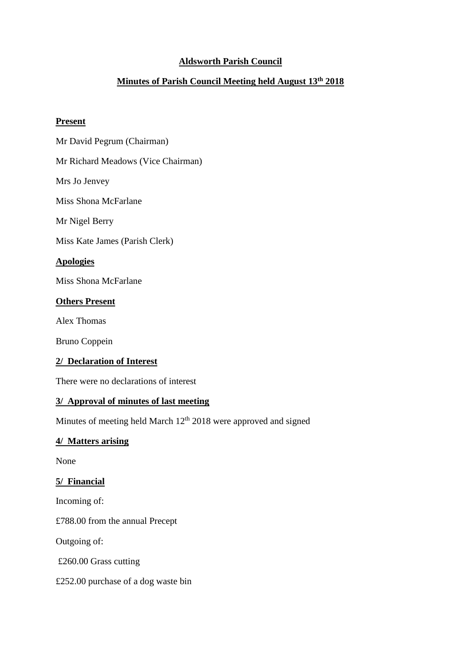# **Aldsworth Parish Council**

# **Minutes of Parish Council Meeting held August 13th 2018**

#### **Present**

Mr David Pegrum (Chairman)

Mr Richard Meadows (Vice Chairman)

Mrs Jo Jenvey

Miss Shona McFarlane

Mr Nigel Berry

Miss Kate James (Parish Clerk)

# **Apologies**

Miss Shona McFarlane

## **Others Present**

Alex Thomas

Bruno Coppein

## **2/ Declaration of Interest**

There were no declarations of interest

#### **3/ Approval of minutes of last meeting**

Minutes of meeting held March 12<sup>th</sup> 2018 were approved and signed

# **4/ Matters arising**

None

# **5/ Financial**

Incoming of:

£788.00 from the annual Precept

Outgoing of:

£260.00 Grass cutting

£252.00 purchase of a dog waste bin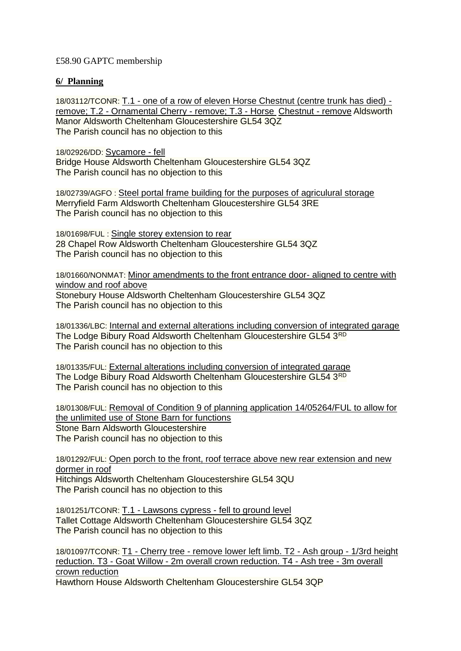## £58.90 GAPTC membership

### **6/ Planning**

18/03112/TCONR: T.1 - [one of a row of eleven Horse Chestnut \(centre trunk has died\)](https://publicaccess.cotswold.gov.uk/online-applications/applicationDetails.do?keyVal=PDHRMGFI03700&activeTab=summary)  remove; T.2 - [Ornamental Cherry -](https://publicaccess.cotswold.gov.uk/online-applications/applicationDetails.do?keyVal=PDHRMGFI03700&activeTab=summary) remove; T.3 - Horse [Chestnut -](https://publicaccess.cotswold.gov.uk/online-applications/applicationDetails.do?keyVal=PDHRMGFI03700&activeTab=summary) remove Aldsworth Manor Aldsworth Cheltenham Gloucestershire GL54 3QZ The Parish council has no objection to this

18/02926/DD: [Sycamore -](https://publicaccess.cotswold.gov.uk/online-applications/applicationDetails.do?keyVal=PCRWIPFI04M00&activeTab=summary) fell Bridge House Aldsworth Cheltenham Gloucestershire GL54 3QZ The Parish council has no objection to this

18/02739/AGFO : [Steel portal frame building for the purposes of agriculural storage](https://publicaccess.cotswold.gov.uk/online-applications/applicationDetails.do?keyVal=PC2I2RFI0LO00&activeTab=summary) Merryfield Farm Aldsworth Cheltenham Gloucestershire GL54 3RE The Parish council has no objection to this

18/01698/FUL : [Single storey extension to rear](https://publicaccess.cotswold.gov.uk/online-applications/applicationDetails.do?keyVal=P8ES2BFIGDY00&activeTab=summary) 28 Chapel Row Aldsworth Cheltenham Gloucestershire GL54 3QZ The Parish council has no objection to this

18/01660/NONMAT: [Minor amendments to the front entrance door-](https://publicaccess.cotswold.gov.uk/online-applications/applicationDetails.do?keyVal=P85R2XFIGAH00&activeTab=summary) aligned to centre with [window and roof above](https://publicaccess.cotswold.gov.uk/online-applications/applicationDetails.do?keyVal=P85R2XFIGAH00&activeTab=summary) Stonebury House Aldsworth Cheltenham Gloucestershire GL54 3QZ

The Parish council has no objection to this

18/01336/LBC: [Internal and external alterations including conversion of integrated garage](https://publicaccess.cotswold.gov.uk/online-applications/applicationDetails.do?keyVal=P74SIFFIFSW00&activeTab=summary) The Lodge Bibury Road Aldsworth Cheltenham Gloucestershire GL54 3RD The Parish council has no objection to this

18/01335/FUL: [External alterations including conversion of integrated garage](https://publicaccess.cotswold.gov.uk/online-applications/applicationDetails.do?keyVal=P74SHIFIFSV00&activeTab=summary) The Lodge Bibury Road Aldsworth Cheltenham Gloucestershire GL54 3RD The Parish council has no objection to this

18/01308/FUL: [Removal of Condition 9 of planning application 14/05264/FUL to allow for](https://publicaccess.cotswold.gov.uk/online-applications/applicationDetails.do?keyVal=P710KUFIFQS00&activeTab=summary)  [the unlimited use of Stone Barn for functions](https://publicaccess.cotswold.gov.uk/online-applications/applicationDetails.do?keyVal=P710KUFIFQS00&activeTab=summary) Stone Barn Aldsworth Gloucestershire The Parish council has no objection to this

18/01292/FUL: [Open porch to the front, roof terrace above new rear extension and new](https://publicaccess.cotswold.gov.uk/online-applications/applicationDetails.do?keyVal=P70E8IFIFPV00&activeTab=summary)  [dormer in roof](https://publicaccess.cotswold.gov.uk/online-applications/applicationDetails.do?keyVal=P70E8IFIFPV00&activeTab=summary) Hitchings Aldsworth Cheltenham Gloucestershire GL54 3QU The Parish council has no objection to this

18/01251/TCONR: T.1 - [Lawsons cypress -](https://publicaccess.cotswold.gov.uk/online-applications/applicationDetails.do?keyVal=P6V2HTFIFMT00&activeTab=summary) fell to ground level Tallet Cottage Aldsworth Cheltenham Gloucestershire GL54 3QZ The Parish council has no objection to this

18/01097/TCONR: T1 - Cherry tree - [remove lower left limb. T2 -](https://publicaccess.cotswold.gov.uk/online-applications/applicationDetails.do?keyVal=P61IM7FIN1700&activeTab=summary) Ash group - 1/3rd height reduction. T3 - Goat Willow - [2m overall crown reduction. T4 -](https://publicaccess.cotswold.gov.uk/online-applications/applicationDetails.do?keyVal=P61IM7FIN1700&activeTab=summary) Ash tree - 3m overall [crown reduction](https://publicaccess.cotswold.gov.uk/online-applications/applicationDetails.do?keyVal=P61IM7FIN1700&activeTab=summary) Hawthorn House Aldsworth Cheltenham Gloucestershire GL54 3QP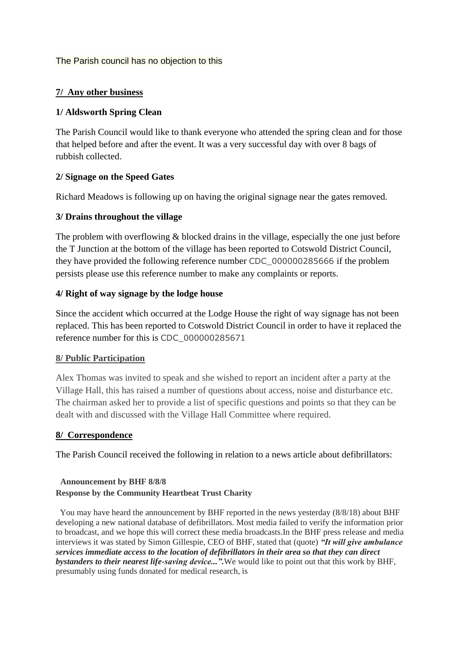The Parish council has no objection to this

## **7/ Any other business**

## **1/ Aldsworth Spring Clean**

The Parish Council would like to thank everyone who attended the spring clean and for those that helped before and after the event. It was a very successful day with over 8 bags of rubbish collected.

## **2/ Signage on the Speed Gates**

Richard Meadows is following up on having the original signage near the gates removed.

## **3/ Drains throughout the village**

The problem with overflowing & blocked drains in the village, especially the one just before the T Junction at the bottom of the village has been reported to Cotswold District Council, they have provided the following reference number CDC\_000000285666 if the problem persists please use this reference number to make any complaints or reports.

## **4/ Right of way signage by the lodge house**

Since the accident which occurred at the Lodge House the right of way signage has not been replaced. This has been reported to Cotswold District Council in order to have it replaced the reference number for this is CDC\_000000285671

#### **8/ Public Participation**

Alex Thomas was invited to speak and she wished to report an incident after a party at the Village Hall, this has raised a number of questions about access, noise and disturbance etc. The chairman asked her to provide a list of specific questions and points so that they can be dealt with and discussed with the Village Hall Committee where required.

#### **8/ Correspondence**

The Parish Council received the following in relation to a news article about defibrillators:

#### **Announcement by BHF 8/8/8 Response by the Community Heartbeat Trust Charity**

You may have heard the announcement by BHF reported in the news yesterday (8/8/18) about BHF developing a new national database of defibrillators. Most media failed to verify the information prior to broadcast, and we hope this will correct these media broadcasts.In the BHF press release and media interviews it was stated by Simon Gillespie, CEO of BHF, stated that (quote) *"It will give ambulance services immediate access to the location of defibrillators in their area so that they can direct bystanders to their nearest life-saving device...".*We would like to point out that this work by BHF, presumably using funds donated for medical research, is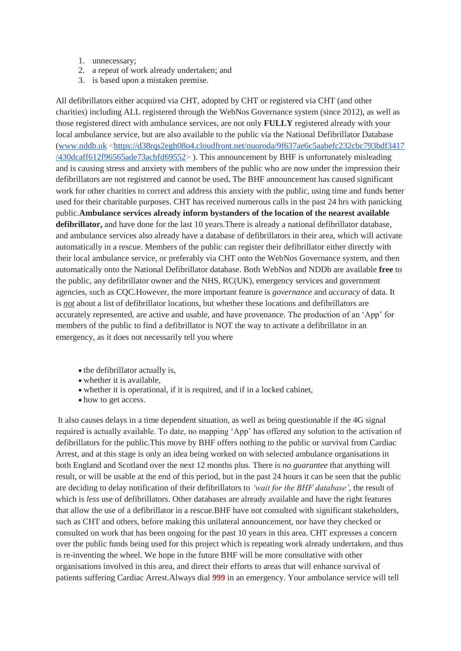- 1. unnecessary;
- 2. a repeat of work already undertaken; and
- 3. is based upon a mistaken premise.

All defibrillators either acquired via CHT, adopted by CHT or registered via CHT (and other charities) including ALL registered through the WebNos Governance system (since 2012), as well as those registered direct with ambulance services, are not only **FULLY** registered already with your local ambulance service, but are also available to the public via the National Defibrillator Database [\(www.nddb.uk](http://www.nddb.uk/) [<https://d38rqs2egh08o4.cloudfront.net/nuoroda/9f637ae6c5aabefc232cbc793bdf3417](https://d38rqs2egh08o4.cloudfront.net/nuoroda/9f637ae6c5aabefc232cbc793bdf3417/430dcaff612f96565ade73acbfd69552) [/430dcaff612f96565ade73acbfd69552>](https://d38rqs2egh08o4.cloudfront.net/nuoroda/9f637ae6c5aabefc232cbc793bdf3417/430dcaff612f96565ade73acbfd69552) ). This announcement by BHF is unfortunately misleading and is causing stress and anxiety with members of the public who are now under the impression their defibrillators are not registered and cannot be used**.** The BHF announcement has caused significant work for other charities to correct and address this anxiety with the public, using time and funds better used for their charitable purposes. CHT has received numerous calls in the past 24 hrs with panicking public.**Ambulance services already inform bystanders of the location of the nearest available defibrillator,** and have done for the last 10 years.There is already a national defibrillator database, and ambulance services also already have a database of defibrillators in their area, which will activate automatically in a rescue. Members of the public can register their defibrillator either directly with their local ambulance service, or preferably via CHT onto the WebNos Governance system, and then automatically onto the National Defibrillator database. Both WebNos and NDDb are available **free** to the public, any defibrillator owner and the NHS, RC(UK), emergency services and government agencies, such as CQC.However, the more important feature is *governance* and *accuracy* of data. It is *not* about a list of defibrillator locations, but whether these locations and defibrillators are accurately represented, are active and usable, and have provenance. The production of an 'App' for members of the public to find a defibrillator is NOT the way to activate a defibrillator in an emergency, as it does not necessarily tell you where

- the defibrillator actually is,
- whether it is available,
- whether it is operational, if it is required, and if in a locked cabinet,
- how to get access.

It also causes delays in a time dependent situation, as well as being questionable if the 4G signal required is actually available. To date, no mapping 'App' has offered any solution to the activation of defibrillators for the public.This move by BHF offers nothing to the public or survival from Cardiac Arrest, and at this stage is only an idea being worked on with selected ambulance organisations in both England and Scotland over the next 12 months plus. There is *no guarantee* that anything will result, or will be usable at the end of this period, but in the past 24 hours it can be seen that the public are deciding to delay notification of their defibrillators to *'wait for the BHF database'*, the result of which is *less* use of defibrillators. Other databases are already available and have the right features that allow the use of a defibrillator in a rescue.BHF have not consulted with significant stakeholders, such as CHT and others, before making this unilateral announcement, nor have they checked or consulted on work that has been ongoing for the past 10 years in this area. CHT expresses a concern over the public funds being used for this project which is repeating work already undertaken, and thus is re-inventing the wheel. We hope in the future BHF will be more consultative with other organisations involved in this area, and direct their efforts to areas that will enhance survival of patients suffering Cardiac Arrest.Always dial **999** in an emergency. Your ambulance service will tell